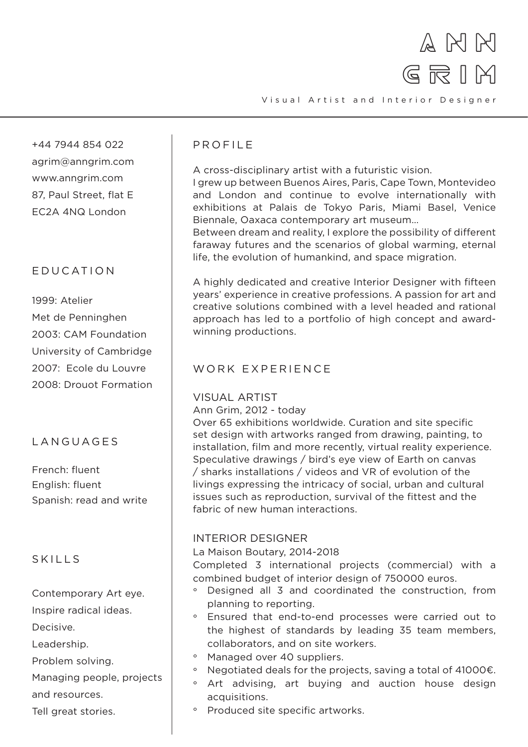

+44 7944 854 022 agrim@anngrim.com www.anngrim.com 87, Paul Street, flat E EC2A 4NQ London

# E D U C A T I O N

1999: Atelier Met de Penninghen 2003: CAM Foundation University of Cambridge 2007: Ecole du Louvre 2008: Drouot Formation

# LANGUAGES

French: fluent English: fluent Spanish: read and write

## SKILLS

Contemporary Art eye.

Inspire radical ideas.

Decisive.

Leadership.

Problem solving.

Managing people, projects and resources.

Tell great stories.

# PROFILE

A cross-disciplinary artist with a futuristic vision.

I grew up between Buenos Aires, Paris, Cape Town, Montevideo and London and continue to evolve internationally with exhibitions at Palais de Tokyo Paris, Miami Basel, Venice Biennale, Oaxaca contemporary art museum…

Between dream and reality, I explore the possibility of different faraway futures and the scenarios of global warming, eternal life, the evolution of humankind, and space migration.

A highly dedicated and creative Interior Designer with fifteen years' experience in creative professions. A passion for art and creative solutions combined with a level headed and rational approach has led to a portfolio of high concept and awardwinning productions.

### WORK EXPERIENCE

### VISUAL ARTIST

Ann Grim, 2012 - today

Over 65 exhibitions worldwide. Curation and site specific set design with artworks ranged from drawing, painting, to installation, film and more recently, virtual reality experience. Speculative drawings / bird's eye view of Earth on canvas / sharks installations / videos and VR of evolution of the livings expressing the intricacy of social, urban and cultural issues such as reproduction, survival of the fittest and the fabric of new human interactions.

### INTERIOR DESIGNER

La Maison Boutary, 2014-2018

Completed 3 international projects (commercial) with a combined budget of interior design of 750000 euros.

- ° Designed all 3 and coordinated the construction, from planning to reporting.
- ° Ensured that end-to-end processes were carried out to the highest of standards by leading 35 team members, collaborators, and on site workers.
- ° Managed over 40 suppliers.
- $\circ$ Negotiated deals for the projects, saving a total of 41000€.
- ° Art advising, art buying and auction house design acquisitions.
- ° Produced site specific artworks.